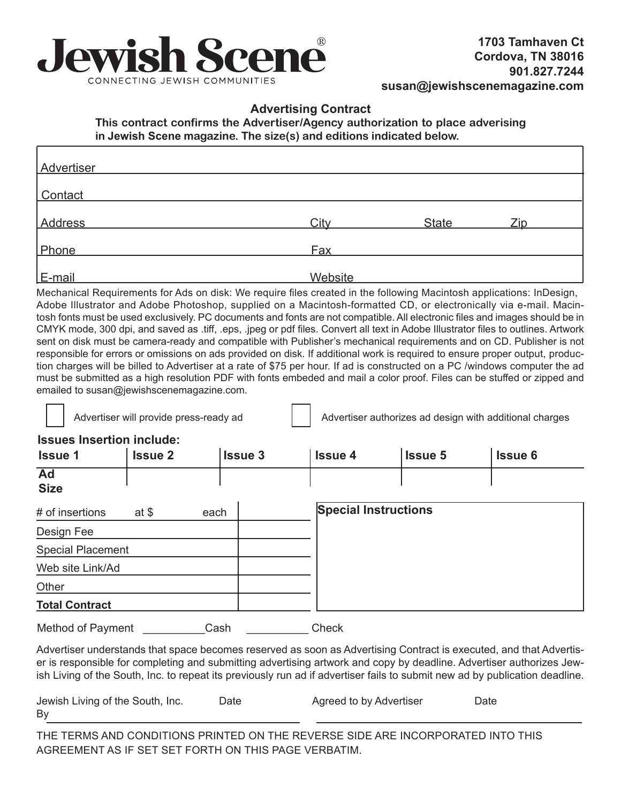

## **Advertising Contract**

**This contract confirms the Advertiser/Agency authorization to place adverising in Jewish Scene magazine. The size(s) and editions indicated below.**

| Advertiser     |                |              |     |
|----------------|----------------|--------------|-----|
| Contact        |                |              |     |
| <b>Address</b> | City           | <b>State</b> | Zip |
| Phone          | Fax            |              |     |
| E-mail         | <b>Website</b> |              |     |

Mechanical Requirements for Ads on disk: We require files created in the following Macintosh applications: InDesign, Adobe Illustrator and Adobe Photoshop, supplied on a Macintosh-formatted CD, or electronically via e-mail. Macintosh fonts must be used exclusively. PC documents and fonts are not compatible. All electronic files and images should be in CMYK mode, 300 dpi, and saved as .tiff, .eps, .jpeg or pdf files. Convert all text in Adobe Illustrator files to outlines. Artwork sent on disk must be camera-ready and compatible with Publisher's mechanical requirements and on CD. Publisher is not responsible for errors or omissions on ads provided on disk. If additional work is required to ensure proper output, production charges will be billed to Advertiser at a rate of \$75 per hour. If ad is constructed on a PC /windows computer the ad must be submitted as a high resolution PDF with fonts embeded and mail a color proof. Files can be stuffed or zipped and emailed to susan@jewishscenemagazine.com.

Advertiser will provide press-ready ad  $\parallel$  Advertiser authorizes ad design with additional charges

## **Issues Insertion include:**

| <b>Issue 1</b>           | <b>Issue 2</b> | <b>Issue 3</b> | <b>Issue 4</b>              | <b>Issue 5</b> | <b>Issue 6</b> |
|--------------------------|----------------|----------------|-----------------------------|----------------|----------------|
| Ad<br><b>Size</b>        |                |                |                             |                |                |
| # of insertions          | at $$$         | each           | <b>Special Instructions</b> |                |                |
| Design Fee               |                |                |                             |                |                |
| <b>Special Placement</b> |                |                |                             |                |                |
| Web site Link/Ad         |                |                |                             |                |                |
| Other                    |                |                |                             |                |                |
| <b>Total Contract</b>    |                |                |                             |                |                |

Method of Payment **Cash Cash** Check

Advertiser understands that space becomes reserved as soon as Advertising Contract is executed, and that Advertiser is responsible for completing and submitting advertising artwork and copy by deadline. Advertiser authorizes Jewish Living of the South, Inc. to repeat its previously run ad if advertiser fails to submit new ad by publication deadline.

| Jewish Living of the South, Inc. | ⊃ate | Agreed to by Advertiser | Date |
|----------------------------------|------|-------------------------|------|
| By                               |      |                         |      |

THE TERMS AND CONDITIONS PRINTED ON THE REVERSE SIDE ARE INCORPORATED INTO THIS AGREEMENT AS IF SET SET FORTH ON THIS PAGE VERBATIM.